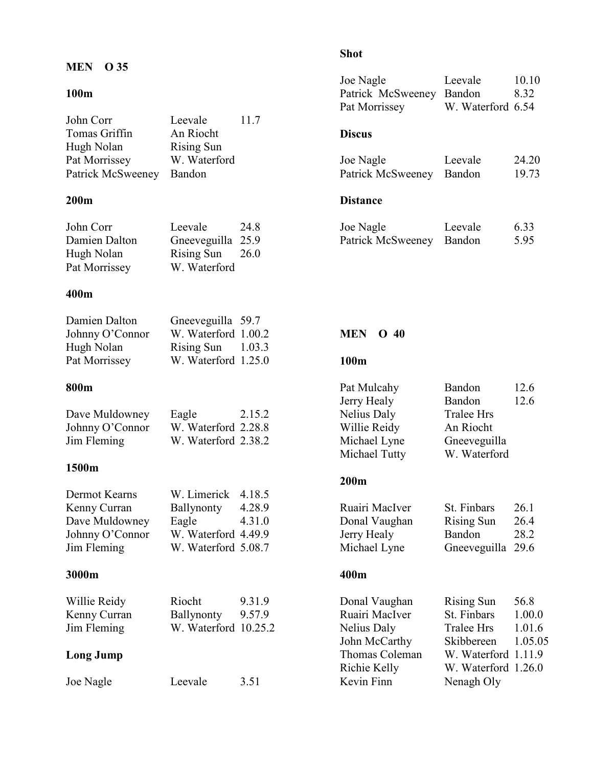# MEN O 35

# 100m

|                                                                                   |                                                                                  |                            | Pat Morrissey                                                                     | W. Waterford 6.54                                                                          |                                     |
|-----------------------------------------------------------------------------------|----------------------------------------------------------------------------------|----------------------------|-----------------------------------------------------------------------------------|--------------------------------------------------------------------------------------------|-------------------------------------|
| John Corr<br>Tomas Griffin<br>Hugh Nolan                                          | Leevale<br>An Riocht<br><b>Rising Sun</b>                                        | 11.7                       | <b>Discus</b>                                                                     |                                                                                            |                                     |
| Pat Morrissey<br>Patrick McSweeney                                                | W. Waterford<br>Bandon                                                           |                            | Joe Nagle<br>Patrick McSweeney                                                    | Leevale<br>Bandon                                                                          | 24.20<br>19.73                      |
| 200m                                                                              |                                                                                  |                            | <b>Distance</b>                                                                   |                                                                                            |                                     |
| John Corr<br>Damien Dalton<br>Hugh Nolan<br>Pat Morrissey                         | Leevale<br>Gneeveguilla 25.9<br><b>Rising Sun</b><br>W. Waterford                | 24.8<br>26.0               | Joe Nagle<br>Patrick McSweeney                                                    | Leevale<br>Bandon                                                                          | 6.33<br>5.95                        |
| 400m                                                                              |                                                                                  |                            |                                                                                   |                                                                                            |                                     |
| Damien Dalton<br>Johnny O'Connor<br>Hugh Nolan                                    | Gneeveguilla 59.7<br>W. Waterford 1.00.2<br>Rising Sun                           | 1.03.3                     | <b>MEN</b><br>$O$ 40                                                              |                                                                                            |                                     |
| Pat Morrissey                                                                     | W. Waterford 1.25.0                                                              |                            | 100m                                                                              |                                                                                            |                                     |
| 800m                                                                              |                                                                                  |                            | Pat Mulcahy<br>Jerry Healy                                                        | Bandon<br>Bandon                                                                           | 12.6<br>12.6                        |
| Dave Muldowney<br>Johnny O'Connor<br>Jim Fleming                                  | Eagle<br>W. Waterford 2.28.8<br>W. Waterford 2.38.2                              | 2.15.2                     | Nelius Daly<br>Willie Reidy<br>Michael Lyne<br>Michael Tutty                      | <b>Tralee Hrs</b><br>An Riocht<br>Gneeveguilla<br>W. Waterford                             |                                     |
| 1500m                                                                             |                                                                                  |                            | 200m                                                                              |                                                                                            |                                     |
| Dermot Kearns<br>Kenny Curran<br>Dave Muldowney<br>Johnny O'Connor<br>Jim Fleming | W. Limerick<br>Ballynonty<br>Eagle<br>W. Waterford 4.49.9<br>W. Waterford 5.08.7 | 4.18.5<br>4.28.9<br>4.31.0 | Ruairi MacIver<br>Donal Vaughan<br>Jerry Healy<br>Michael Lyne                    | St. Finbars<br><b>Rising Sun</b><br>Bandon<br>Gneeveguilla 29.6                            | 26.1<br>26.4<br>28.2                |
| 3000m                                                                             |                                                                                  |                            | 400m                                                                              |                                                                                            |                                     |
| Willie Reidy<br>Kenny Curran<br>Jim Fleming<br><b>Long Jump</b>                   | Riocht<br>Ballynonty<br>W. Waterford 10.25.2                                     | 9.31.9<br>9.57.9           | Donal Vaughan<br>Ruairi MacIver<br>Nelius Daly<br>John McCarthy<br>Thomas Coleman | <b>Rising Sun</b><br>St. Finbars<br><b>Tralee Hrs</b><br>Skibbereen<br>W. Waterford 1.11.9 | 56.8<br>1.00.0<br>1.01.6<br>1.05.05 |
| Joe Nagle                                                                         | Leevale                                                                          | 3.51                       | Richie Kelly<br>Kevin Finn                                                        | W. Waterford 1.26.0<br>Nenagh Oly                                                          |                                     |

# Shot

Joe Nagle Leevale 10.10 Patrick McSweeney Bandon 8.32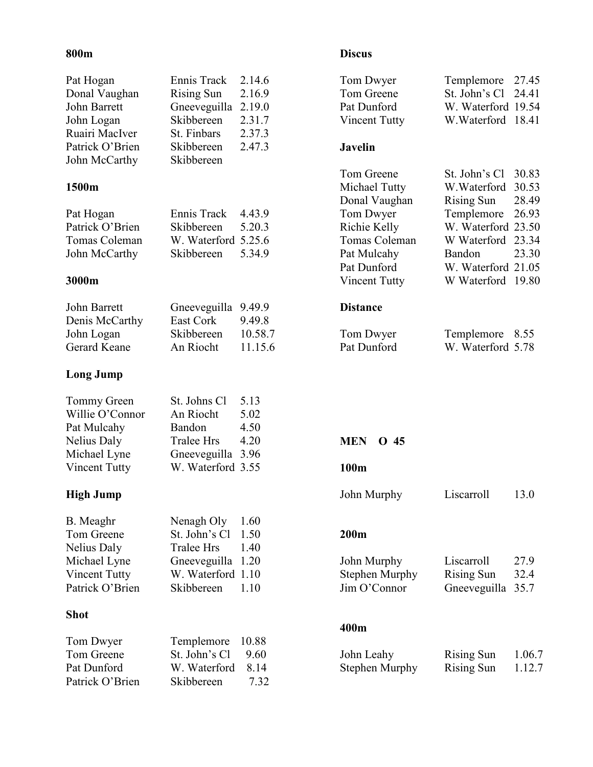#### 800m

| Pat Hogan            | Ennis Track         | 2.14.6  | Tom Dwyer             | Templemore         | 27.45  |
|----------------------|---------------------|---------|-----------------------|--------------------|--------|
| Donal Vaughan        | <b>Rising Sun</b>   | 2.16.9  | Tom Greene            | St. John's Cl      | 24.41  |
| <b>John Barrett</b>  | Gneeveguilla        | 2.19.0  | Pat Dunford           | W. Waterford 19.54 |        |
| John Logan           | Skibbereen          | 2.31.7  | <b>Vincent Tutty</b>  | W. Waterford 18.41 |        |
| Ruairi MacIver       | St. Finbars         | 2.37.3  |                       |                    |        |
| Patrick O'Brien      | Skibbereen          | 2.47.3  | <b>Javelin</b>        |                    |        |
| John McCarthy        | Skibbereen          |         |                       |                    |        |
|                      |                     |         | Tom Greene            | St. John's Cl      | 30.83  |
| 1500m                |                     |         | Michael Tutty         | W.Waterford        | 30.53  |
|                      |                     |         | Donal Vaughan         | <b>Rising Sun</b>  | 28.49  |
| Pat Hogan            | Ennis Track         | 4.43.9  | Tom Dwyer             | Templemore         | 26.93  |
| Patrick O'Brien      | Skibbereen          | 5.20.3  | Richie Kelly          | W. Waterford 23.50 |        |
| Tomas Coleman        | W. Waterford 5.25.6 |         | Tomas Coleman         | W Waterford        | 23.34  |
| John McCarthy        | Skibbereen          | 5.34.9  | Pat Mulcahy           | Bandon             | 23.30  |
|                      |                     |         | Pat Dunford           | W. Waterford 21.05 |        |
| 3000m                |                     |         | <b>Vincent Tutty</b>  | W Waterford 19.80  |        |
|                      |                     |         |                       |                    |        |
| John Barrett         | Gneeveguilla 9.49.9 |         | <b>Distance</b>       |                    |        |
| Denis McCarthy       | East Cork           | 9.49.8  |                       |                    |        |
| John Logan           | Skibbereen          | 10.58.7 | Tom Dwyer             | Templemore         | 8.55   |
| Gerard Keane         | An Riocht           | 11.15.6 | Pat Dunford           | W. Waterford 5.78  |        |
|                      |                     |         |                       |                    |        |
| <b>Long Jump</b>     |                     |         |                       |                    |        |
| Tommy Green          | St. Johns Cl        | 5.13    |                       |                    |        |
| Willie O'Connor      | An Riocht           | 5.02    |                       |                    |        |
| Pat Mulcahy          | Bandon              | 4.50    |                       |                    |        |
| Nelius Daly          | <b>Tralee Hrs</b>   | 4.20    | <b>MEN</b><br>O 45    |                    |        |
| Michael Lyne         | Gneeveguilla 3.96   |         |                       |                    |        |
| <b>Vincent Tutty</b> | W. Waterford 3.55   |         | 100m                  |                    |        |
|                      |                     |         |                       |                    |        |
| <b>High Jump</b>     |                     |         | John Murphy           | Liscarroll         | 13.0   |
| B. Meaghr            | Nenagh Oly          | 1.60    |                       |                    |        |
| Tom Greene           | St. John's Cl       | 1.50    | 200m                  |                    |        |
| Nelius Daly          | <b>Tralee Hrs</b>   | 1.40    |                       |                    |        |
| Michael Lyne         | Gneeveguilla        | 1.20    | John Murphy           | Liscarroll         | 27.9   |
| <b>Vincent Tutty</b> | W. Waterford 1.10   |         | <b>Stephen Murphy</b> | <b>Rising Sun</b>  | 32.4   |
| Patrick O'Brien      | Skibbereen          | 1.10    | Jim O'Connor          | Gneeveguilla       | 35.7   |
|                      |                     |         |                       |                    |        |
| <b>Shot</b>          |                     |         |                       |                    |        |
|                      |                     |         | 400m                  |                    |        |
| Tom Dwyer            | Templemore          | 10.88   |                       |                    |        |
| Tom Greene           | St. John's Cl       | 9.60    | John Leahy            | <b>Rising Sun</b>  | 1.06.7 |
| Pat Dunford          | W. Waterford        | 8.14    | <b>Stephen Murphy</b> | <b>Rising Sun</b>  | 1.12.7 |
| Patrick O'Brien      | Skibbereen          | 7.32    |                       |                    |        |

# Discus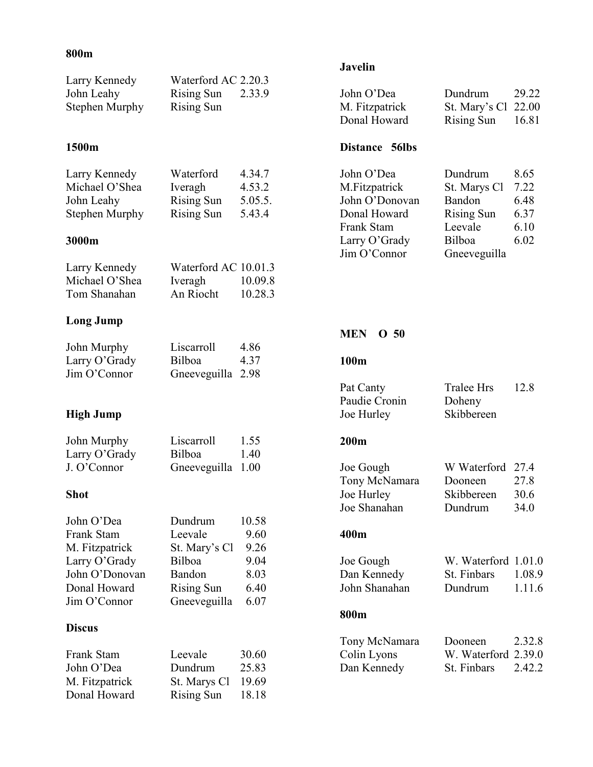### 800m

| Larry Kennedy<br>John Leahy<br>Stephen Murphy | Waterford AC 2.20.3<br><b>Rising Sun</b><br><b>Rising Sun</b> | 2.33.9           |
|-----------------------------------------------|---------------------------------------------------------------|------------------|
| 1500m                                         |                                                               |                  |
| Larry Kennedy<br>Michael O'Shea               | Waterford<br>Iveragh                                          | 4.34.7<br>4.53.2 |

| Michael O'Shea | Iveragh           | 4.53.2  |
|----------------|-------------------|---------|
| John Leahy     | <b>Rising Sun</b> | 5.05.5. |
| Stephen Murphy | <b>Rising Sun</b> | 5.43.4  |

# 3000m

| Larry Kennedy  | Waterford AC 10.01.3 |         |
|----------------|----------------------|---------|
| Michael O'Shea | Iveragh              | 10.09.8 |
| Tom Shanahan   | An Riocht            | 10.28.3 |

# Long Jump

| John Murphy      | Liscarroll        | 4.86 |
|------------------|-------------------|------|
| Larry $O'$ Grady | Bilboa            | 4.37 |
| Jim O'Connor     | Gneeveguilla 2.98 |      |

# High Jump

| John Murphy      | Liscarroll        | 1.55 |
|------------------|-------------------|------|
| Larry $O'$ Grady | Bilboa            | 1.40 |
| J. O'Connor      | Gneeveguilla 1.00 |      |

#### Shot

| John O'Dea     | Dundrum           | 10.58 |
|----------------|-------------------|-------|
| Frank Stam     | Leevale           | 9.60  |
| M. Fitzpatrick | St. Mary's Cl     | 9.26  |
| Larry O'Grady  | Bilboa            | 9.04  |
| John O'Donovan | Bandon            | 8.03  |
| Donal Howard   | <b>Rising Sun</b> | 6.40  |
| Jim O'Connor   | Gneeveguilla      | 6.07  |

### Discus

| Frank Stam     | Leevale           | 30.60 |
|----------------|-------------------|-------|
| John O'Dea     | Dundrum           | 25.83 |
| M. Fitzpatrick | St. Marys Cl      | 19.69 |
| Donal Howard   | <b>Rising Sun</b> | 18.18 |

# Javelin

| John O'Dea<br>M. Fitzpatrick<br>Donal Howard<br>Distance 56lbs | Dundrum<br>St. Mary's Cl<br><b>Rising Sun</b> | 29.22<br>22.00<br>16.81 |
|----------------------------------------------------------------|-----------------------------------------------|-------------------------|
| John O'Dea                                                     | Dundrum                                       | 8.65                    |
| M.Fitzpatrick                                                  | St. Marys Cl                                  | 7.22                    |
| John O'Donovan                                                 | Bandon                                        | 6.48                    |
| Donal Howard                                                   | <b>Rising Sun</b>                             | 6.37                    |
| Frank Stam                                                     | Leevale                                       | 6.10                    |
| Larry O'Grady                                                  | Bilboa                                        | 6.02                    |
| Jim O'Connor                                                   | Gneeveguilla                                  |                         |

#### MEN O 50

#### 100m

| Pat Canty     | Tralee Hrs | 12.8 |
|---------------|------------|------|
| Paudie Cronin | Doheny     |      |
| Joe Hurley    | Skibbereen |      |

#### 200m

| Dooneen    | 27.8             |
|------------|------------------|
| Skibbereen | 30.6             |
| Dundrum    | 34.0             |
|            | W Waterford 27.4 |

#### 400m

| Joe Gough     | W. Waterford $1.01.0$ |        |
|---------------|-----------------------|--------|
| Dan Kennedy   | St. Finbars           | 1.08.9 |
| John Shanahan | Dundrum               | 1.11.6 |

#### 800m

| Tony McNamara | Dooneen             | 2.32.8 |
|---------------|---------------------|--------|
| Colin Lyons   | W. Waterford 2.39.0 |        |
| Dan Kennedy   | St. Finbars         | 2.42.2 |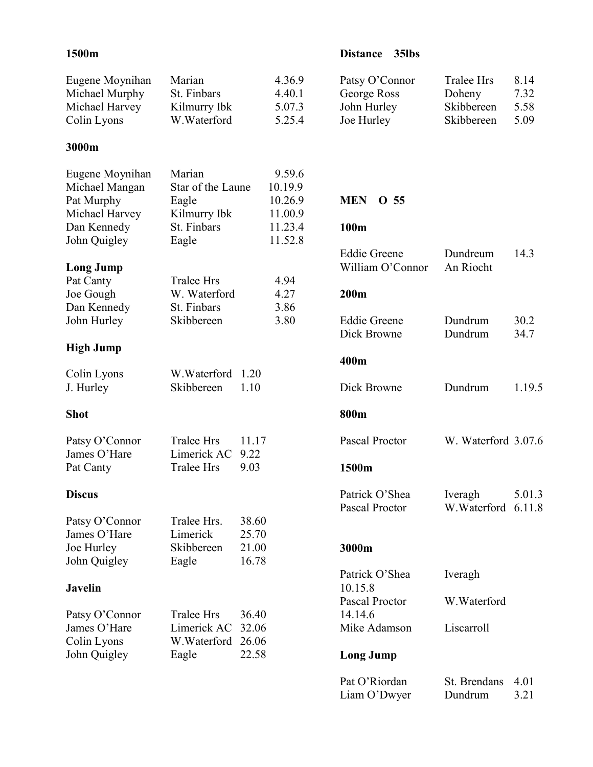| 1500m                                                              |                                                      |                         |                                         | 35lbs<br><b>Distance</b>                                   |                                                  |                              |
|--------------------------------------------------------------------|------------------------------------------------------|-------------------------|-----------------------------------------|------------------------------------------------------------|--------------------------------------------------|------------------------------|
| Eugene Moynihan<br>Michael Murphy<br>Michael Harvey<br>Colin Lyons | Marian<br>St. Finbars<br>Kilmurry Ibk<br>W.Waterford |                         | 4.36.9<br>4.40.1<br>5.07.3<br>5.25.4    | Patsy O'Connor<br>George Ross<br>John Hurley<br>Joe Hurley | Tralee Hrs<br>Doheny<br>Skibbereen<br>Skibbereen | 8.14<br>7.32<br>5.58<br>5.09 |
| 3000m                                                              |                                                      |                         |                                         |                                                            |                                                  |                              |
| Eugene Moynihan<br>Michael Mangan<br>Pat Murphy<br>Michael Harvey  | Marian<br>Star of the Laune<br>Eagle<br>Kilmurry Ibk |                         | 9.59.6<br>10.19.9<br>10.26.9<br>11.00.9 | <b>MEN</b><br>O <sub>55</sub>                              |                                                  |                              |
| Dan Kennedy<br>John Quigley                                        | St. Finbars<br>Eagle                                 |                         | 11.23.4<br>11.52.8                      | 100m                                                       |                                                  |                              |
| <b>Long Jump</b>                                                   |                                                      |                         |                                         | <b>Eddie Greene</b><br>William O'Connor                    | Dundreum<br>An Riocht                            | 14.3                         |
| Pat Canty<br>Joe Gough<br>Dan Kennedy                              | <b>Tralee Hrs</b><br>W. Waterford<br>St. Finbars     |                         | 4.94<br>4.27<br>3.86                    | 200m                                                       |                                                  |                              |
| John Hurley                                                        | Skibbereen                                           |                         | 3.80                                    | <b>Eddie Greene</b><br>Dick Browne                         | Dundrum<br>Dundrum                               | 30.2<br>34.7                 |
| <b>High Jump</b>                                                   |                                                      |                         |                                         | 400m                                                       |                                                  |                              |
| Colin Lyons<br>J. Hurley                                           | W.Waterford<br>Skibbereen                            | 1.20<br>1.10            |                                         | Dick Browne                                                | Dundrum                                          | 1.19.5                       |
| <b>Shot</b>                                                        |                                                      |                         |                                         | 800m                                                       |                                                  |                              |
| Patsy O'Connor<br>James O'Hare                                     | <b>Tralee Hrs</b><br>Limerick AC                     | 11.17<br>9.22           |                                         | Pascal Proctor                                             | W. Waterford 3.07.6                              |                              |
| Pat Canty                                                          | <b>Tralee Hrs</b>                                    | 9.03                    |                                         | 1500m                                                      |                                                  |                              |
| <b>Discus</b>                                                      |                                                      |                         |                                         | Patrick O'Shea<br>Pascal Proctor                           | Iveragh<br>W.Waterford                           | 5.01.3<br>6.11.8             |
| Patsy O'Connor<br>James O'Hare<br>Joe Hurley                       | Tralee Hrs.<br>Limerick<br>Skibbereen                | 38.60<br>25.70<br>21.00 |                                         | 3000m                                                      |                                                  |                              |
| John Quigley                                                       | Eagle                                                | 16.78                   |                                         |                                                            |                                                  |                              |
| <b>Javelin</b>                                                     |                                                      |                         |                                         | Patrick O'Shea<br>10.15.8                                  | Iveragh                                          |                              |

Pascal Proctor W.Waterford

Pat O'Riordan St. Brendans 4.01<br>
Liam O'Dwyer Dundrum 3.21

Mike Adamson Liscarroll

14.14.6

Long Jump

Liam O'Dwyer

#### Javelin

| Patsy O'Connor | Tralee Hrs         | 36.40 |
|----------------|--------------------|-------|
| James O'Hare   | Limerick AC 32.06  |       |
| Colin Lyons    | W. Waterford 26.06 |       |
| John Quigley   | Eagle              | 22.58 |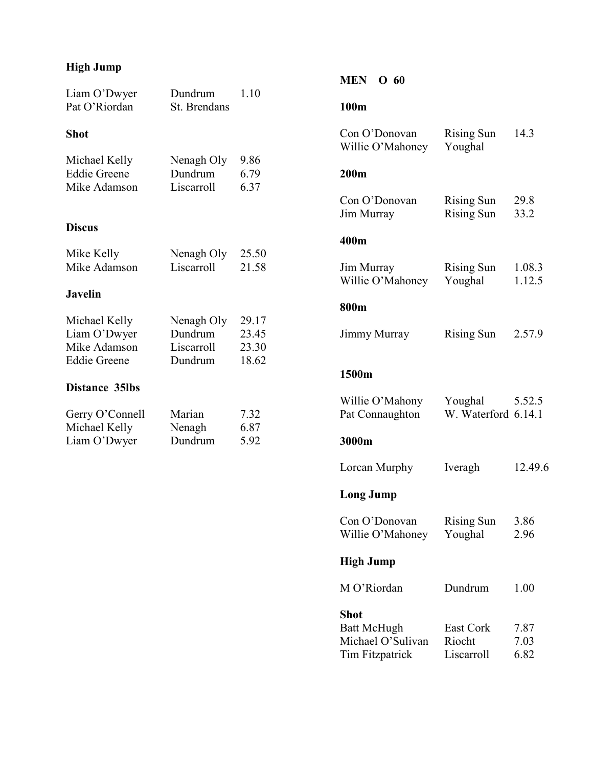# High Jump

| Liam O'Dwyer<br>Pat O'Riordan                                        | Dundrum<br>St. Brendans                        | 1.10                             |
|----------------------------------------------------------------------|------------------------------------------------|----------------------------------|
| Shot                                                                 |                                                |                                  |
| Michael Kelly<br><b>Eddie Greene</b><br>Mike Adamson                 | Nenagh Oly<br>Dundrum<br>Liscarroll            | 9.86<br>6.79<br>6.37             |
| <b>Discus</b>                                                        |                                                |                                  |
| Mike Kelly<br>Mike Adamson                                           | Nenagh Oly<br>Liscarroll                       | 25.50<br>21.58                   |
| <b>Javelin</b>                                                       |                                                |                                  |
| Michael Kelly<br>Liam O'Dwyer<br>Mike Adamson<br><b>Eddie Greene</b> | Nenagh Oly<br>Dundrum<br>Liscarroll<br>Dundrum | 29.17<br>23.45<br>23.30<br>18.62 |
| <b>Distance 35lbs</b>                                                |                                                |                                  |
| Gerry O'Connell<br>Michael Kelly<br>Liam O'Dwyer                     | Marian<br>Nenagh<br>Dundrum                    | 7.32<br>6.87<br>5.92             |

# MEN O 60

# 100m

| Con O'Donovan<br>Willie O'Mahoney                                                | <b>Rising Sun</b><br>Youghal           | 14.3                 |  |
|----------------------------------------------------------------------------------|----------------------------------------|----------------------|--|
| 200m                                                                             |                                        |                      |  |
| Con O'Donovan<br>Jim Murray                                                      | <b>Rising Sun</b><br><b>Rising Sun</b> | 29.8<br>33.2         |  |
| 400m                                                                             |                                        |                      |  |
| Jim Murray<br>Willie O'Mahoney                                                   | <b>Rising Sun</b><br>Youghal           | 1.08.3<br>1.12.5     |  |
| 800m                                                                             |                                        |                      |  |
| <b>Jimmy Murray</b>                                                              | <b>Rising Sun</b>                      | 2.57.9               |  |
| 1500m                                                                            |                                        |                      |  |
| Willie O'Mahony<br>Pat Connaughton                                               | Youghal<br>W. Waterford 6.14.1         | 5.52.5               |  |
| 3000m                                                                            |                                        |                      |  |
| Lorcan Murphy                                                                    | Iveragh                                | 12.49.6              |  |
| <b>Long Jump</b>                                                                 |                                        |                      |  |
| Con O'Donovan<br>Willie O'Mahoney                                                | <b>Rising Sun</b><br>Youghal           | 3.86<br>2.96         |  |
| High Jump                                                                        |                                        |                      |  |
| M O'Riordan                                                                      | Dundrum                                | 1.00                 |  |
| <b>Shot</b><br><b>Batt McHugh</b><br>Michael O'Sulivan<br><b>Tim Fitzpatrick</b> | East Cork<br>Riocht<br>Liscarroll      | 7.87<br>7.03<br>6.82 |  |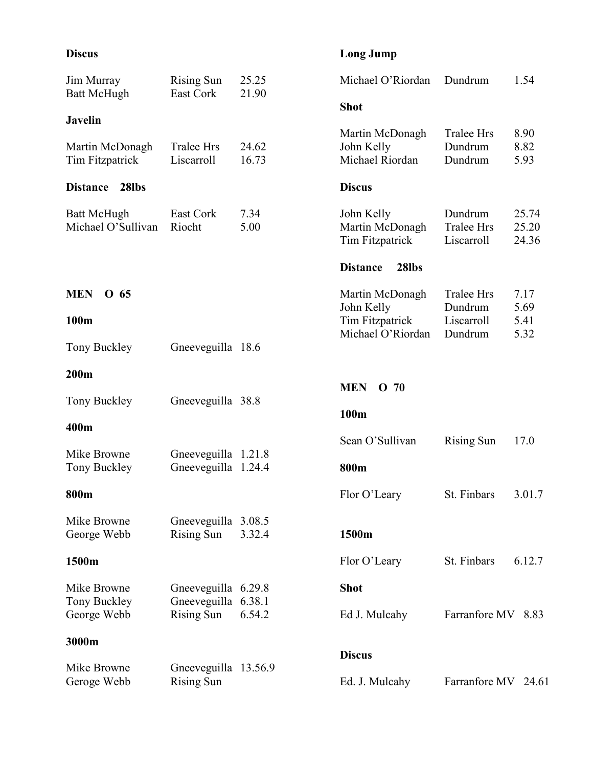# Discus

# Long Jump

| Jim Murray<br><b>Batt McHugh</b>         | <b>Rising Sun</b><br>East Cork             | 25.25<br>21.90 | Michael O'Riordan                                | Dundrum<br>1.54                                                       |  |
|------------------------------------------|--------------------------------------------|----------------|--------------------------------------------------|-----------------------------------------------------------------------|--|
| <b>Javelin</b>                           |                                            |                | <b>Shot</b>                                      |                                                                       |  |
| Martin McDonagh<br>Tim Fitzpatrick       | <b>Tralee Hrs</b><br>Liscarroll            | 24.62<br>16.73 | Martin McDonagh<br>John Kelly<br>Michael Riordan | <b>Tralee Hrs</b><br>8.90<br>Dundrum<br>8.82<br>Dundrum<br>5.93       |  |
| 28lbs<br><b>Distance</b>                 |                                            |                | <b>Discus</b>                                    |                                                                       |  |
| <b>Batt McHugh</b><br>Michael O'Sullivan | East Cork<br>Riocht                        | 7.34<br>5.00   | John Kelly<br>Martin McDonagh<br>Tim Fitzpatrick | Dundrum<br>25.74<br>25.20<br><b>Tralee Hrs</b><br>Liscarroll<br>24.36 |  |
|                                          |                                            |                | <b>Distance</b><br>28lbs                         |                                                                       |  |
| <b>MEN</b><br>O 65                       |                                            |                | Martin McDonagh<br>John Kelly                    | <b>Tralee Hrs</b><br>7.17<br>Dundrum<br>5.69                          |  |
| 100m                                     |                                            |                | Tim Fitzpatrick<br>Michael O'Riordan             | Liscarroll<br>5.41<br>Dundrum<br>5.32                                 |  |
| Tony Buckley                             | Gneeveguilla 18.6                          |                |                                                  |                                                                       |  |
| 200m                                     |                                            |                |                                                  |                                                                       |  |
| Tony Buckley                             | Gneeveguilla 38.8                          |                | <b>MEN</b><br>O <sub>70</sub>                    |                                                                       |  |
| 400m                                     |                                            |                | 100m                                             |                                                                       |  |
| Mike Browne<br>Tony Buckley              | Gneeveguilla 1.21.8<br>Gneeveguilla 1.24.4 |                | Sean O'Sullivan<br>800m                          | 17.0<br><b>Rising Sun</b>                                             |  |
| 800m                                     |                                            |                | Flor O'Leary                                     | St. Finbars<br>3.01.7                                                 |  |
| Mike Browne<br>George Webb               | Gneeveguilla 3.08.5<br><b>Rising Sun</b>   | 3.32.4         | 1500m                                            |                                                                       |  |
| 1500m                                    |                                            |                | Flor O'Leary                                     | St. Finbars<br>6.12.7                                                 |  |
| Mike Browne                              | Gneeveguilla 6.29.8                        |                | <b>Shot</b>                                      |                                                                       |  |
| Tony Buckley<br>George Webb              | Gneeveguilla 6.38.1<br><b>Rising Sun</b>   | 6.54.2         | Ed J. Mulcahy                                    | Farranfore MV 8.83                                                    |  |
| 3000m                                    |                                            |                |                                                  |                                                                       |  |
| Mike Browne                              | Gneeveguilla 13.56.9                       |                | <b>Discus</b>                                    |                                                                       |  |
| Geroge Webb                              | <b>Rising Sun</b>                          |                | Ed. J. Mulcahy                                   | Farranfore MV 24.61                                                   |  |